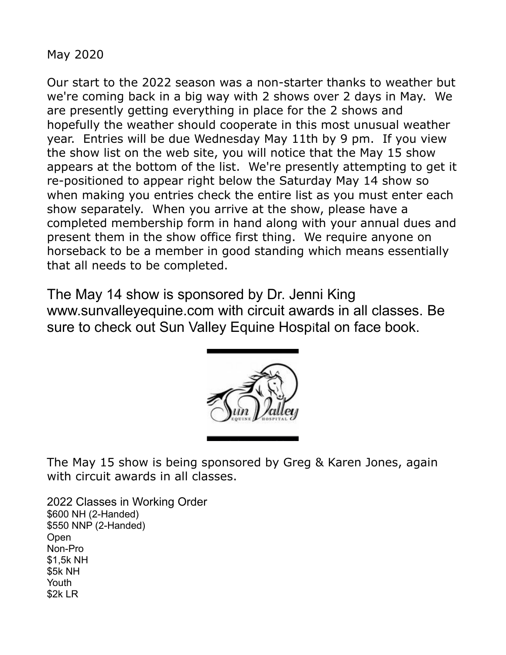May 2020

Our start to the 2022 season was a non-starter thanks to weather but we're coming back in a big way with 2 shows over 2 days in May. We are presently getting everything in place for the 2 shows and hopefully the weather should cooperate in this most unusual weather year. Entries will be due Wednesday May 11th by 9 pm. If you view the show list on the web site, you will notice that the May 15 show appears at the bottom of the list. We're presently attempting to get it re-positioned to appear right below the Saturday May 14 show so when making you entries check the entire list as you must enter each show separately. When you arrive at the show, please have a completed membership form in hand along with your annual dues and present them in the show office first thing. We require anyone on horseback to be a member in good standing which means essentially that all needs to be completed.

The May 14 show is sponsored by Dr. Jenni King www.sunvalleyequine.com with circuit awards in all classes. Be sure to check out Sun Valley Equine Hospital on face book.



The May 15 show is being sponsored by Greg & Karen Jones, again with circuit awards in all classes.

2022 Classes in Working Order \$600 NH (2-Handed) \$550 NNP (2-Handed) Open Non-Pro \$1,5k NH \$5k NH Youth \$2k LR